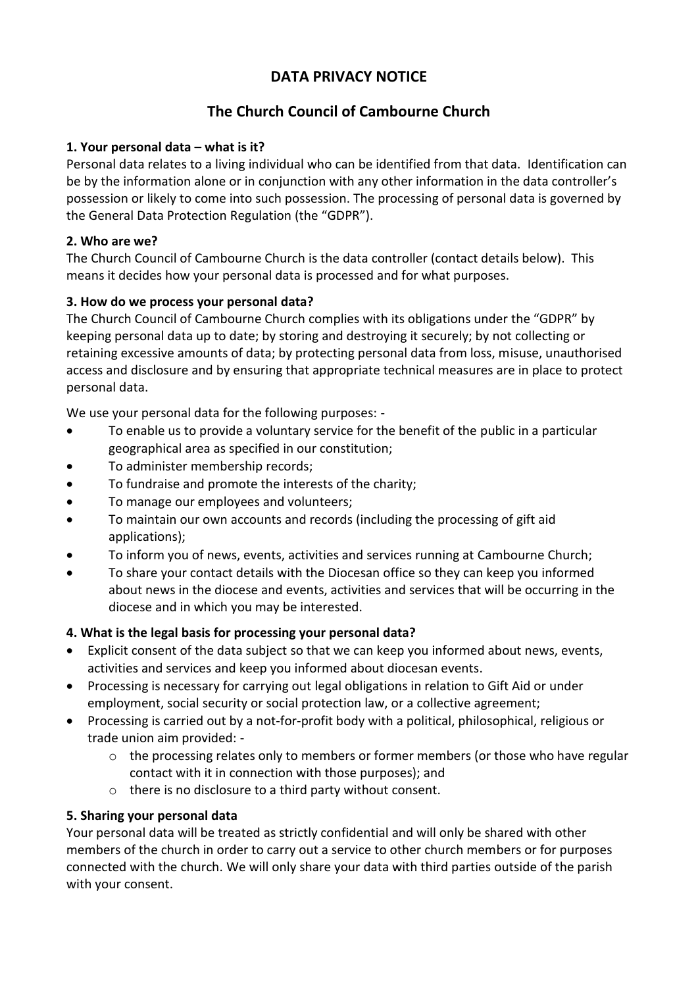# **DATA PRIVACY NOTICE**

# **The Church Council of Cambourne Church**

#### **1. Your personal data – what is it?**

Personal data relates to a living individual who can be identified from that data. Identification can be by the information alone or in conjunction with any other information in the data controller's possession or likely to come into such possession. The processing of personal data is governed by the General Data Protection Regulation (the "GDPR").

#### **2. Who are we?**

The Church Council of Cambourne Church is the data controller (contact details below). This means it decides how your personal data is processed and for what purposes.

## **3. How do we process your personal data?**

The Church Council of Cambourne Church complies with its obligations under the "GDPR" by keeping personal data up to date; by storing and destroying it securely; by not collecting or retaining excessive amounts of data; by protecting personal data from loss, misuse, unauthorised access and disclosure and by ensuring that appropriate technical measures are in place to protect personal data.

We use your personal data for the following purposes: -

- To enable us to provide a voluntary service for the benefit of the public in a particular geographical area as specified in our constitution;
- To administer membership records;
- To fundraise and promote the interests of the charity;
- To manage our employees and volunteers;
- To maintain our own accounts and records (including the processing of gift aid applications);
- To inform you of news, events, activities and services running at Cambourne Church;
- To share your contact details with the Diocesan office so they can keep you informed about news in the diocese and events, activities and services that will be occurring in the diocese and in which you may be interested.

## **4. What is the legal basis for processing your personal data?**

- Explicit consent of the data subject so that we can keep you informed about news, events, activities and services and keep you informed about diocesan events.
- Processing is necessary for carrying out legal obligations in relation to Gift Aid or under employment, social security or social protection law, or a collective agreement;
- Processing is carried out by a not-for-profit body with a political, philosophical, religious or trade union aim provided: -
	- $\circ$  the processing relates only to members or former members (or those who have regular contact with it in connection with those purposes); and
	- o there is no disclosure to a third party without consent.

## **5. Sharing your personal data**

Your personal data will be treated as strictly confidential and will only be shared with other members of the church in order to carry out a service to other church members or for purposes connected with the church. We will only share your data with third parties outside of the parish with your consent.